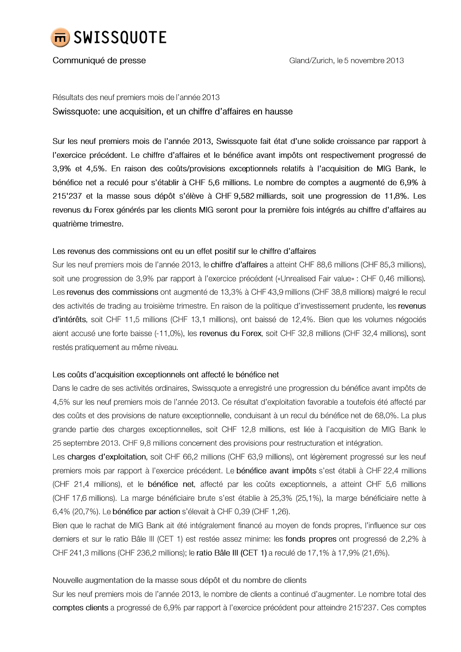

#### Communiqué de presse

Résultats des neuf premiers mois de l'année 2013 Swissquote: une acquisition, et un chiffre d'affaires en hausse

Sur les neuf premiers mois de l'année 2013, Swissquote fait état d'une solide croissance par rapport à l'exercice précédent. Le chiffre d'affaires et le bénéfice avant impôts ont respectivement progressé de 3,9% et 4,5%. En raison des coûts/provisions exceptionnels relatifs à l'acquisition de MIG Bank, le bénéfice net a reculé pour s'établir à CHF 5,6 millions. Le nombre de comptes a augmenté de 6,9% à 215'237 et la masse sous dépôt s'élève à CHF 9,582 milliards, soit une progression de 11,8%. Les revenus du Forex générés par les clients MIG seront pour la première fois intégrés au chiffre d'affaires au quatrième trimestre.

### Les revenus des commissions ont eu un effet positif sur le chiffre d'affaires

Sur les neuf premiers mois de l'année 2013, le chiffre d'affaires a atteint CHF 88,6 millions (CHF 85,3 millions), soit une progression de 3,9% par rapport à l'exercice précédent («Unrealised Fair value» : CHF 0,46 millions). Les revenus des commissions ont augmenté de 13,3% à CHF 43,9 millions (CHF 38,8 millions) malgré le recul des activités de trading au troisième trimestre. En raison de la politique d'investissement prudente, les revenus d'intérêts, soit CHF 11,5 millions (CHF 13,1 millions), ont baissé de 12,4%. Bien que les volumes négociés aient accusé une forte baisse (-11,0%), les revenus du Forex, soit CHF 32,8 millions (CHF 32,4 millions), sont restés pratiquement au même niveau.

#### Les coûts d'acquisition exceptionnels ont affecté le bénéfice net

Dans le cadre de ses activités ordinaires, Swissquote a enregistré une progression du bénéfice avant impôts de 4,5% sur les neuf premiers mois de l'année 2013. Ce résultat d'exploitation favorable a toutefois été affecté par des coûts et des provisions de nature exceptionnelle, conduisant à un recul du bénéfice net de 68,0%. La plus grande partie des charges exceptionnelles, soit CHF 12,8 millions, est liée à l'acquisition de MIG Bank le 25 septembre 2013. CHF 9,8 millions concernent des provisions pour restructuration et intégration.

Les charges d'exploitation, soit CHF 66,2 millions (CHF 63,9 millions), ont légèrement progressé sur les neuf premiers mois par rapport à l'exercice précédent. Le bénéfice avant impôts s'est établi à CHF 22,4 millions (CHF 21,4 millions), et le bénéfice net, affecté par les coûts exceptionnels, a atteint CHF 5,6 millions (CHF 17,6 millions). La marge bénéficiaire brute s'est établie à 25,3% (25,1%), la marge bénéficiaire nette à 6,4% (20,7%). Le bénéfice par action s'élevait à CHF 0,39 (CHF 1,26).

Bien que le rachat de MIG Bank ait été intégralement financé au moyen de fonds propres, l'influence sur ces derniers et sur le ratio Bâle III (CET 1) est restée assez minime: les fonds propres ont progressé de 2,2% à CHF 241,3 millions (CHF 236,2 millions); le ratio Bâle III (CET 1) a reculé de 17,1% à 17,9% (21,6%).

## Nouvelle augmentation de la masse sous dépôt et du nombre de clients

Sur les neuf premiers mois de l'année 2013, le nombre de clients a continué d'augmenter. Le nombre total des comptes clients a progressé de 6,9% par rapport à l'exercice précédent pour atteindre 215'237. Ces comptes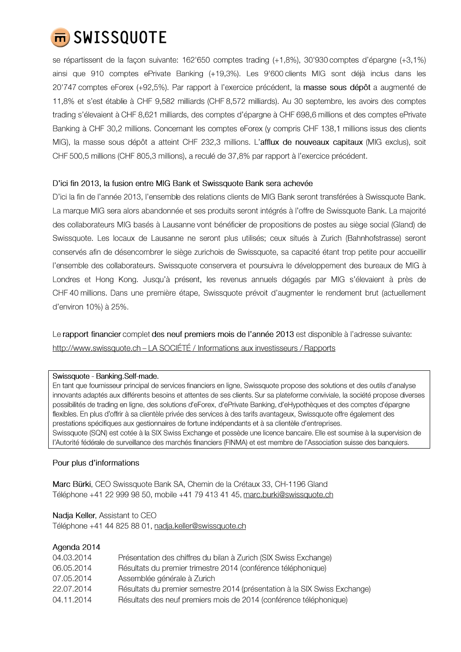

se répartissent de la façon suivante: 162'650 comptes trading (+1,8%), 30'930 comptes d'épargne (+3,1%) ainsi que 910 comptes ePrivate Banking (+19,3%). Les 9'600 clients MIG sont déjà inclus dans les 20'747 comptes eForex (+92,5%). Par rapport à l'exercice précédent, la masse sous dépôt a augmenté de 11,8% et s'est établie à CHF 9,582 milliards (CHF 8,572 milliards). Au 30 septembre, les avoirs des comptes trading s'élevaient à CHF 8,621 milliards, des comptes d'épargne à CHF 698,6 millions et des comptes ePrivate Banking à CHF 30,2 millions. Concernant les comptes eForex (y compris CHF 138,1 millions issus des clients MIG), la masse sous dépôt a atteint CHF 232,3 millions. L'afflux de nouveaux capitaux (MIG exclus), soit CHF 500,5 millions (CHF 805,3 millions), a reculé de 37,8% par rapport à l'exercice précédent.

#### D'ici fin 2013, la fusion entre MIG Bank et Swissquote Bank sera achevée

D'ici la fin de l'année 2013, l'ensemble des relations clients de MIG Bank seront transférées à Swissquote Bank. La marque MIG sera alors abandonnée et ses produits seront intégrés à l'offre de Swissquote Bank. La majorité des collaborateurs MIG basés à Lausanne vont bénéficier de propositions de postes au siège social (Gland) de Swissquote. Les locaux de Lausanne ne seront plus utilisés; ceux situés à Zurich (Bahnhofstrasse) seront conservés afin de désencombrer le siège zurichois de Swissquote, sa capacité étant trop petite pour accueillir l'ensemble des collaborateurs. Swissquote conservera et poursuivra le développement des bureaux de MIG à Londres et Hong Kong. Jusqu'à présent, les revenus annuels dégagés par MIG s'élevaient à près de CHF 40 millions. Dans une première étape, Swissquote prévoit d'augmenter le rendement brut (actuellement d'environ 10%) à 25%.

Le rapport financier complet des neuf premiers mois de l'année 2013 est disponible à l'adresse suivante: http://www.swissquote.ch - LA SOCIÉTÉ / Informations aux investisseurs / Rapports

#### Swissquote - Banking.Self-made.

En tant que fournisseur principal de services financiers en ligne, Swissquote propose des solutions et des outils d'analyse innovants adaptés aux différents besoins et attentes de ses clients. Sur sa plateforme conviviale, la société propose diverses possibilités de trading en ligne, des solutions d'eForex, d'ePrivate Banking, d'eHypothèques et des comptes d'épargne flexibles. En plus d'offrir à sa clientèle privée des services à des tarifs avantageux, Swissquote offre également des prestations spécifiques aux gestionnaires de fortune indépendants et à sa clientèle d'entreprises. Swissquote (SQN) est cotée à la SIX Swiss Exchange et possède une licence bancaire. Elle est soumise à la supervision de l'Autorité fédérale de surveillance des marchés financiers (FINMA) et est membre de l'Association suisse des banquiers.

#### Pour plus d'informations

Marc Bürki, CEO Swissquote Bank SA, Chemin de la Crétaux 33, CH-1196 Gland Téléphone +41 22 999 98 50, mobile +41 79 413 41 45, marc.burki@swissquote.ch

# Nadja Keller, Assistant to CEO

Téléphone +41 44 825 88 01, nadja.keller@swissquote.ch

| Agenda 2014 |                                                                           |
|-------------|---------------------------------------------------------------------------|
| 04.03.2014  | Présentation des chiffres du bilan à Zurich (SIX Swiss Exchange)          |
| 06.05.2014  | Résultats du premier trimestre 2014 (conférence téléphonique)             |
| 07.05.2014  | Assemblée générale à Zurich                                               |
| 22.07.2014  | Résultats du premier semestre 2014 (présentation à la SIX Swiss Exchange) |
| 04.11.2014  | Résultats des neuf premiers mois de 2014 (conférence téléphonique)        |